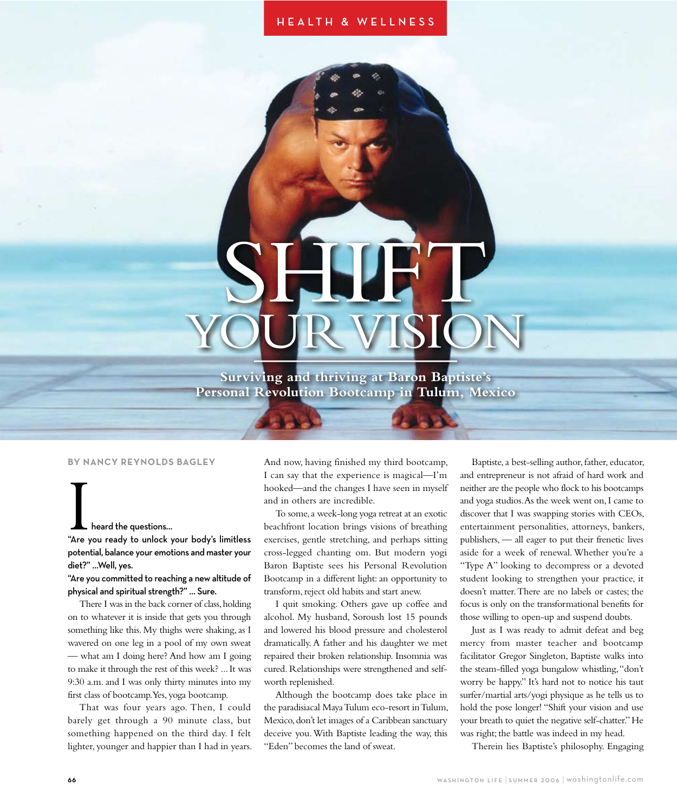# **H E A L T H & W E L L N E S S**

# SHIFT YOUR VISION

**Surviving and thriving at Baron Baptiste's Personal Revolution Bootcamp in Tulum, Mexico**

## **BY NANCY REYNOLDS BAGLEY**

Iheard the questions… "Are you ready to unlock your body's limitless potential, balance your emotions and master your diet?" …Well, yes.

# "Are you committed to reaching a new altitude of physical and spiritual strength?" … Sure.

There I was in the back corner of class, holding on to whatever it is inside that gets you through something like this. My thighs were shaking, as I wavered on one leg in a pool of my own sweat — what am I doing here? And how am I going to make it through the rest of this week? ... It was 9:30 a.m. and I was only thirty minutes into my first class of bootcamp. Yes, yoga bootcamp.

That was four years ago. Then, I could barely get through a 90 minute class, but something happened on the third day. I felt lighter, younger and happier than I had in years.

And now, having finished my third bootcamp, I can say that the experience is magical—I'm hooked—and the changes I have seen in myself and in others are incredible.

To some, a week-long yoga retreat at an exotic beachfront location brings visions of breathing exercises, gentle stretching, and perhaps sitting cross-legged chanting om. But modern yogi Baron Baptiste sees his Personal Revolution Bootcamp in a different light: an opportunity to transform, reject old habits and start anew.

I quit smoking. Others gave up coffee and alcohol. My husband, Soroush lost 15 pounds and lowered his blood pressure and cholesterol dramatically. A father and his daughter we met repaired their broken relationship. Insomnia was cured. Relationships were strengthened and selfworth replenished.

Although the bootcamp does take place in the paradisiacal Maya Tulum eco-resort in Tulum, Mexico, don't let images of a Caribbean sanctuary deceive you. With Baptiste leading the way, this "Eden" becomes the land of sweat.

Baptiste, a best-selling author, father, educator, and entrepreneur is not afraid of hard work and neither are the people who flock to his bootcamps and yoga studios. As the week went on, I came to discover that I was swapping stories with CEOs, entertainment personalities, attorneys, bankers, publishers, — all eager to put their frenetic lives aside for a week of renewal. Whether you're a "Type A" looking to decompress or a devoted student looking to strengthen your practice, it doesn't matter. There are no labels or castes; the focus is only on the transformational benefits for those willing to open-up and suspend doubts.

Just as I was ready to admit defeat and beg mercy from master teacher and bootcamp facilitator Gregor Singleton, Baptiste walks into the steam-filled yoga bungalow whistling, "don't worry be happy." It's hard not to notice his taut surfer/martial arts/yogi physique as he tells us to hold the pose longer! "Shift your vision and use your breath to quiet the negative self-chatter." He was right; the battle was indeed in my head.

Therein lies Baptiste's philosophy. Engaging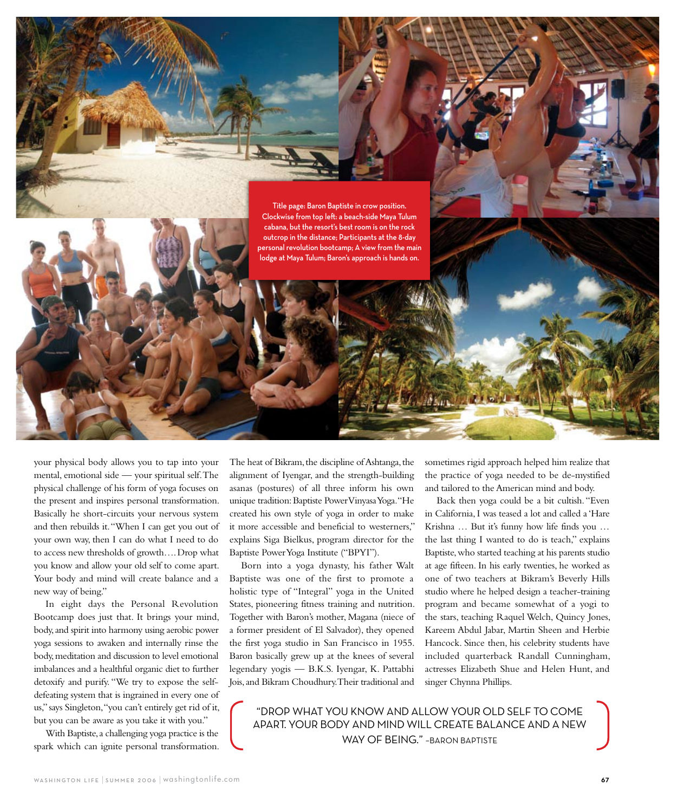

your physical body allows you to tap into your mental, emotional side — your spiritual self. The physical challenge of his form of yoga focuses on the present and inspires personal transformation. Basically he short-circuits your nervous system and then rebuilds it. "When I can get you out of your own way, then I can do what I need to do to access new thresholds of growth…. Drop what you know and allow your old self to come apart. Your body and mind will create balance and a new way of being."

In eight days the Personal Revolution Bootcamp does just that. It brings your mind, body, and spirit into harmony using aerobic power yoga sessions to awaken and internally rinse the body, meditation and discussion to level emotional imbalances and a healthful organic diet to further detoxify and purify. "We try to expose the selfdefeating system that is ingrained in every one of us," says Singleton, "you can't entirely get rid of it, but you can be aware as you take it with you."

With Baptiste, a challenging yoga practice is the spark which can ignite personal transformation. The heat of Bikram, the discipline of Ashtanga, the alignment of Iyengar, and the strength-building asanas (postures) of all three inform his own unique tradition: Baptiste Power Vinyasa Yoga. "He created his own style of yoga in order to make it more accessible and beneficial to westerners," explains Siga Bielkus, program director for the Baptiste Power Yoga Institute ("BPYI").

Born into a yoga dynasty, his father Walt Baptiste was one of the first to promote a holistic type of "Integral" yoga in the United States, pioneering fitness training and nutrition. Together with Baron's mother, Magana (niece of a former president of El Salvador), they opened the first yoga studio in San Francisco in 1955. Baron basically grew up at the knees of several legendary yogis — B.K.S. Iyengar, K. Pattabhi Jois, and Bikram Choudhury. Their traditional and

sometimes rigid approach helped him realize that the practice of yoga needed to be de-mystified and tailored to the American mind and body.

Back then yoga could be a bit cultish. "Even in California, I was teased a lot and called a 'Hare Krishna … But it's funny how life finds you … the last thing I wanted to do is teach," explains Baptiste, who started teaching at his parents studio at age fifteen. In his early twenties, he worked as one of two teachers at Bikram's Beverly Hills studio where he helped design a teacher-training program and became somewhat of a yogi to the stars, teaching Raquel Welch, Quincy Jones, Kareem Abdul Jabar, Martin Sheen and Herbie Hancock. Since then, his celebrity students have included quarterback Randall Cunningham, actresses Elizabeth Shue and Helen Hunt, and singer Chynna Phillips.

"DROP WHAT YOU KNOW AND ALLOW YOUR OLD SELF TO COME APART. YOUR BODY AND MIND WILL CREATE BALANCE AND A NEW WAY OF BEING." - BARON BAPTISTE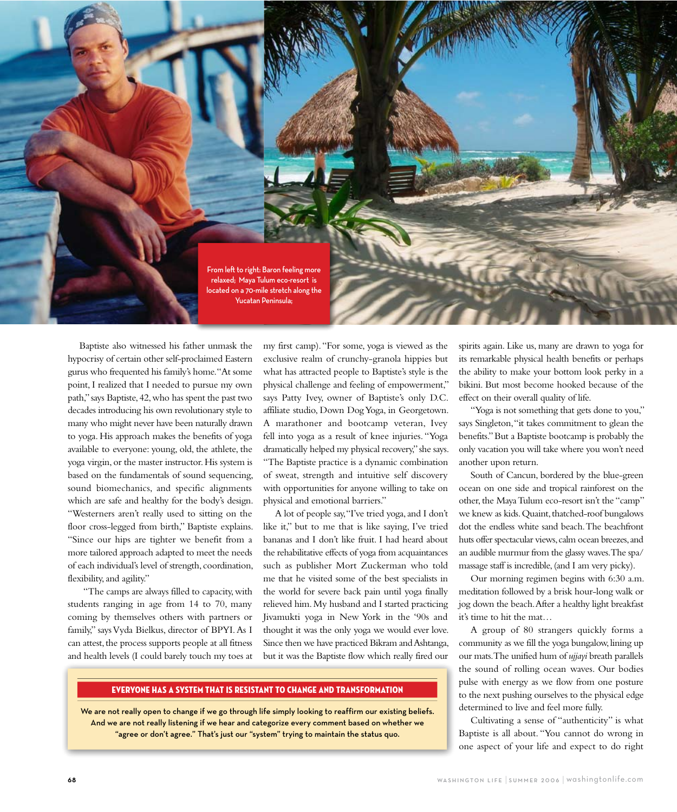

Baptiste also witnessed his father unmask the hypocrisy of certain other self-proclaimed Eastern gurus who frequented his family's home. "At some point, I realized that I needed to pursue my own path," says Baptiste, 42, who has spent the past two decades introducing his own revolutionary style to many who might never have been naturally drawn to yoga. His approach makes the benefits of yoga available to everyone: young, old, the athlete, the yoga virgin, or the master instructor. His system is based on the fundamentals of sound sequencing, sound biomechanics, and specific alignments which are safe and healthy for the body's design. "Westerners aren't really used to sitting on the floor cross-legged from birth," Baptiste explains. "Since our hips are tighter we benefit from a more tailored approach adapted to meet the needs of each individual's level of strength, coordination, flexibility, and agility."

 "The camps are always filled to capacity, with students ranging in age from 14 to 70, many coming by themselves others with partners or family," says Vyda Bielkus, director of BPYI. As I can attest, the process supports people at all fitness and health levels (I could barely touch my toes at my first camp). "For some, yoga is viewed as the exclusive realm of crunchy-granola hippies but what has attracted people to Baptiste's style is the physical challenge and feeling of empowerment," says Patty Ivey, owner of Baptiste's only D.C. affiliate studio, Down Dog Yoga, in Georgetown. A marathoner and bootcamp veteran, Ivey fell into yoga as a result of knee injuries. "Yoga dramatically helped my physical recovery," she says. "The Baptiste practice is a dynamic combination of sweat, strength and intuitive self discovery with opportunities for anyone willing to take on physical and emotional barriers."

A lot of people say, "I've tried yoga, and I don't like it," but to me that is like saying, I've tried bananas and I don't like fruit. I had heard about the rehabilitative effects of yoga from acquaintances such as publisher Mort Zuckerman who told me that he visited some of the best specialists in the world for severe back pain until yoga finally relieved him. My husband and I started practicing Jivamukti yoga in New York in the '90s and thought it was the only yoga we would ever love. Since then we have practiced Bikram and Ashtanga, but it was the Baptiste flow which really fired our

# EVERYONE HAS A SYSTEM THAT IS RESISTANT TO CHANGE AND TRANSFORMATION

We are not really open to change if we go through life simply looking to reaffirm our existing beliefs. And we are not really listening if we hear and categorize every comment based on whether we "agree or don't agree." That's just our "system" trying to maintain the status quo.

spirits again. Like us, many are drawn to yoga for its remarkable physical health benefits or perhaps the ability to make your bottom look perky in a bikini. But most become hooked because of the effect on their overall quality of life.

"Yoga is not something that gets done to you," says Singleton, "it takes commitment to glean the benefits." But a Baptiste bootcamp is probably the only vacation you will take where you won't need another upon return.

South of Cancun, bordered by the blue-green ocean on one side and tropical rainforest on the other, the Maya Tulum eco-resort isn't the "camp" we knew as kids. Quaint, thatched-roof bungalows dot the endless white sand beach. The beachfront huts offer spectacular views, calm ocean breezes, and an audible murmur from the glassy waves. The spa/ massage staff is incredible, (and I am very picky).

Our morning regimen begins with 6:30 a.m. meditation followed by a brisk hour-long walk or jog down the beach. After a healthy light breakfast it's time to hit the mat…

A group of 80 strangers quickly forms a community as we fill the yoga bungalow, lining up our mats. The unified hum of *ujjayi* breath parallels the sound of rolling ocean waves. Our bodies pulse with energy as we flow from one posture to the next pushing ourselves to the physical edge determined to live and feel more fully.

Cultivating a sense of "authenticity" is what Baptiste is all about. "You cannot do wrong in one aspect of your life and expect to do right